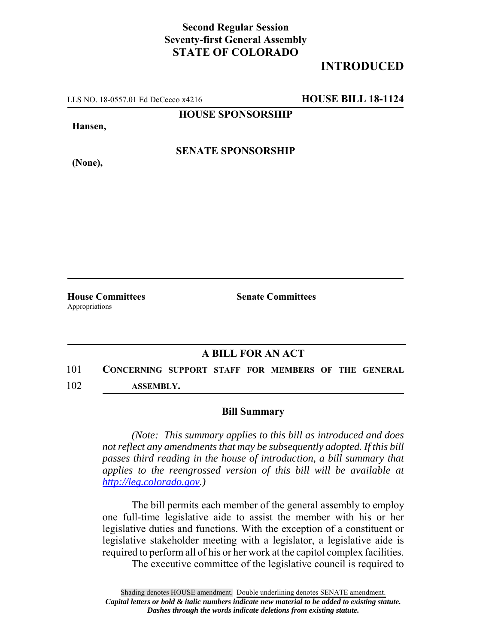## **Second Regular Session Seventy-first General Assembly STATE OF COLORADO**

## **INTRODUCED**

LLS NO. 18-0557.01 Ed DeCecco x4216 **HOUSE BILL 18-1124**

**HOUSE SPONSORSHIP**

**Hansen,**

**(None),**

**SENATE SPONSORSHIP**

Appropriations

**House Committees Senate Committees** 

## **A BILL FOR AN ACT**

101 **CONCERNING SUPPORT STAFF FOR MEMBERS OF THE GENERAL** 102 **ASSEMBLY.**

## **Bill Summary**

*(Note: This summary applies to this bill as introduced and does not reflect any amendments that may be subsequently adopted. If this bill passes third reading in the house of introduction, a bill summary that applies to the reengrossed version of this bill will be available at http://leg.colorado.gov.)*

The bill permits each member of the general assembly to employ one full-time legislative aide to assist the member with his or her legislative duties and functions. With the exception of a constituent or legislative stakeholder meeting with a legislator, a legislative aide is required to perform all of his or her work at the capitol complex facilities.

The executive committee of the legislative council is required to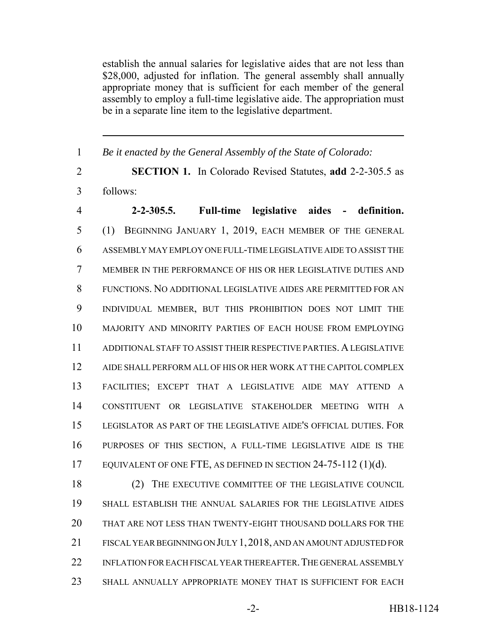establish the annual salaries for legislative aides that are not less than \$28,000, adjusted for inflation. The general assembly shall annually appropriate money that is sufficient for each member of the general assembly to employ a full-time legislative aide. The appropriation must be in a separate line item to the legislative department.

*Be it enacted by the General Assembly of the State of Colorado:*

 **SECTION 1.** In Colorado Revised Statutes, **add** 2-2-305.5 as follows:

 **2-2-305.5. Full-time legislative aides - definition.** (1) BEGINNING JANUARY 1, 2019, EACH MEMBER OF THE GENERAL ASSEMBLY MAY EMPLOY ONE FULL-TIME LEGISLATIVE AIDE TO ASSIST THE MEMBER IN THE PERFORMANCE OF HIS OR HER LEGISLATIVE DUTIES AND FUNCTIONS. NO ADDITIONAL LEGISLATIVE AIDES ARE PERMITTED FOR AN INDIVIDUAL MEMBER, BUT THIS PROHIBITION DOES NOT LIMIT THE MAJORITY AND MINORITY PARTIES OF EACH HOUSE FROM EMPLOYING ADDITIONAL STAFF TO ASSIST THEIR RESPECTIVE PARTIES. A LEGISLATIVE AIDE SHALL PERFORM ALL OF HIS OR HER WORK AT THE CAPITOL COMPLEX FACILITIES; EXCEPT THAT A LEGISLATIVE AIDE MAY ATTEND A CONSTITUENT OR LEGISLATIVE STAKEHOLDER MEETING WITH A LEGISLATOR AS PART OF THE LEGISLATIVE AIDE'S OFFICIAL DUTIES. FOR PURPOSES OF THIS SECTION, A FULL-TIME LEGISLATIVE AIDE IS THE EQUIVALENT OF ONE FTE, AS DEFINED IN SECTION 24-75-112 (1)(d).

18 (2) THE EXECUTIVE COMMITTEE OF THE LEGISLATIVE COUNCIL SHALL ESTABLISH THE ANNUAL SALARIES FOR THE LEGISLATIVE AIDES THAT ARE NOT LESS THAN TWENTY-EIGHT THOUSAND DOLLARS FOR THE FISCAL YEAR BEGINNING ON JULY 1,2018, AND AN AMOUNT ADJUSTED FOR 22 INFLATION FOR EACH FISCAL YEAR THEREAFTER. THE GENERAL ASSEMBLY SHALL ANNUALLY APPROPRIATE MONEY THAT IS SUFFICIENT FOR EACH